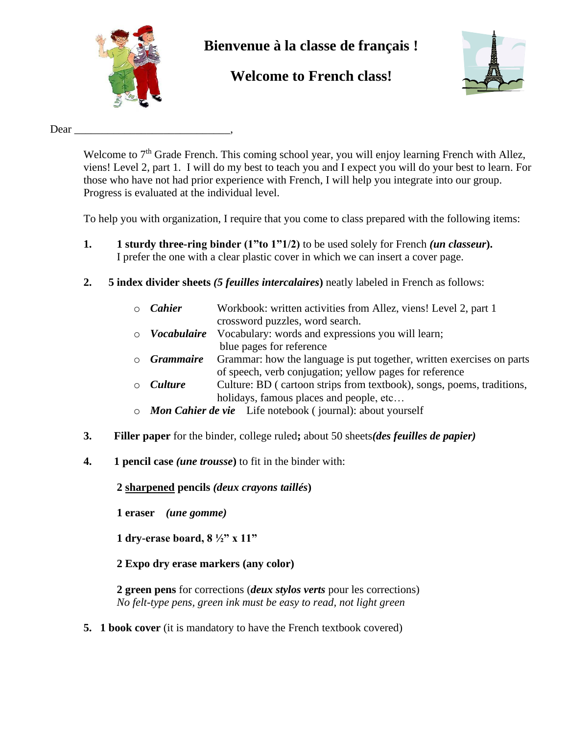

# **Bienvenue à la classe de français !**

# **Welcome to French class!**



Dear  $\Box$ 

Welcome to 7<sup>th</sup> Grade French. This coming school year, you will enjoy learning French with Allez, viens! Level 2, part 1. I will do my best to teach you and I expect you will do your best to learn. For those who have not had prior experience with French, I will help you integrate into our group. Progress is evaluated at the individual level.

To help you with organization, I require that you come to class prepared with the following items:

- **1. 1 sturdy three-ring binder (1"to 1"1/2)** to be used solely for French *(un classeur***).**  I prefer the one with a clear plastic cover in which we can insert a cover page.
- **2. 5 index divider sheets** *(5 feuilles intercalaires***)** neatly labeled in French as follows:
	- o *Cahier* Workbook: written activities from Allez, viens! Level 2, part 1 crossword puzzles, word search.
	- o *Vocabulaire* Vocabulary: words and expressions you will learn; blue pages for reference
	- o *Grammaire* Grammar: how the language is put together, written exercises on parts of speech, verb conjugation; yellow pages for reference
	- o *Culture* Culture: BD ( cartoon strips from textbook), songs, poems, traditions, holidays, famous places and people, etc...
	- o *Mon Cahier de vie* Life notebook ( journal): about yourself
- **3. Filler paper** for the binder, college ruled**;** about 50 sheets*(des feuilles de papier)*
- **4. 1 pencil case** *(une trousse***)** to fit in the binder with:

**2 sharpened pencils** *(deux crayons taillés***)**

- **1 eraser** *(une gomme)*
- **1 dry-erase board, 8 ½" x 11"**
- **2 Expo dry erase markers (any color)**

**2 green pens** for corrections (*deux stylos verts* pour les corrections) *No felt-type pens, green ink must be easy to read, not light green*

**5. 1 book cover** (it is mandatory to have the French textbook covered)